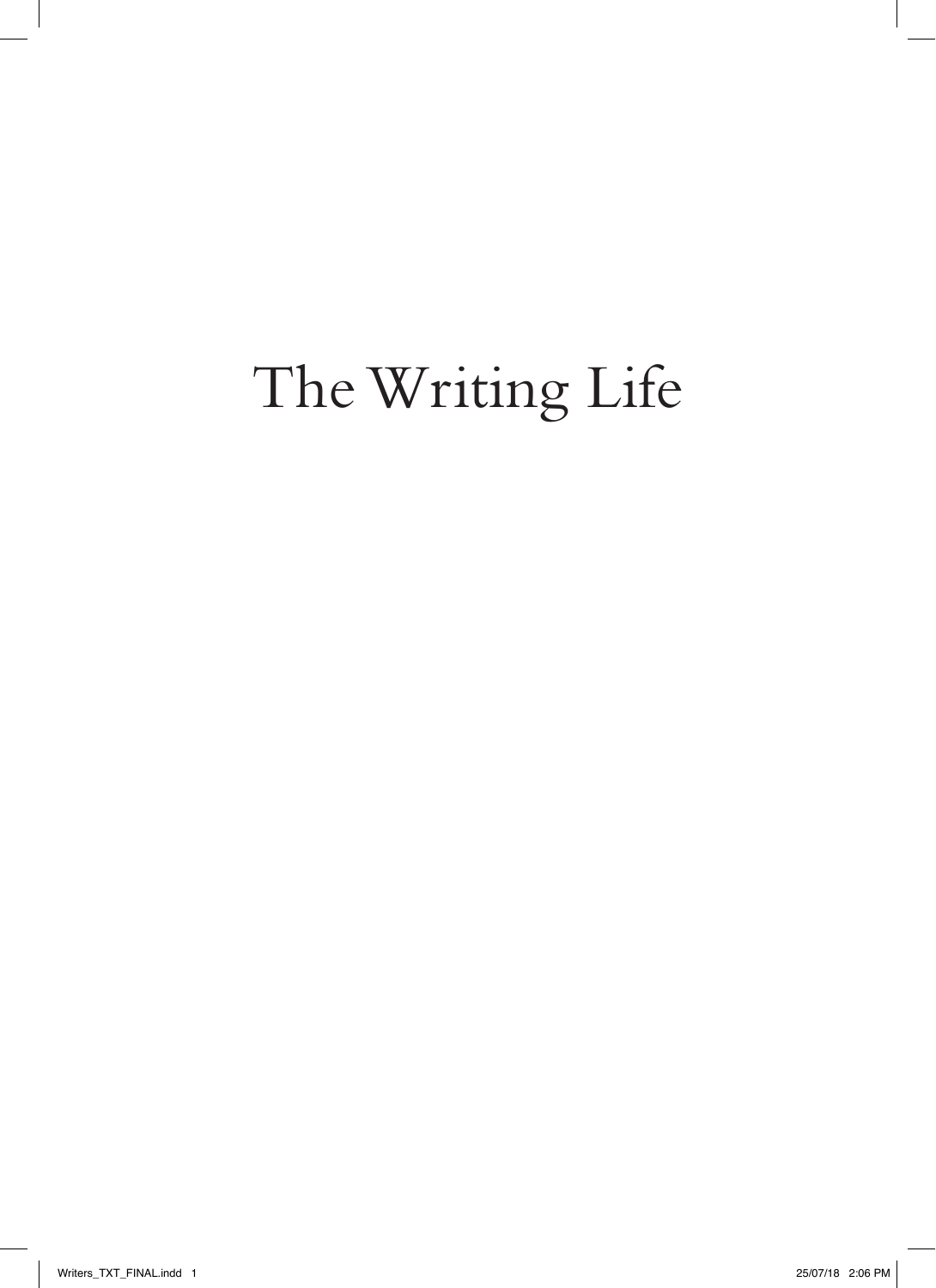### The Writing Life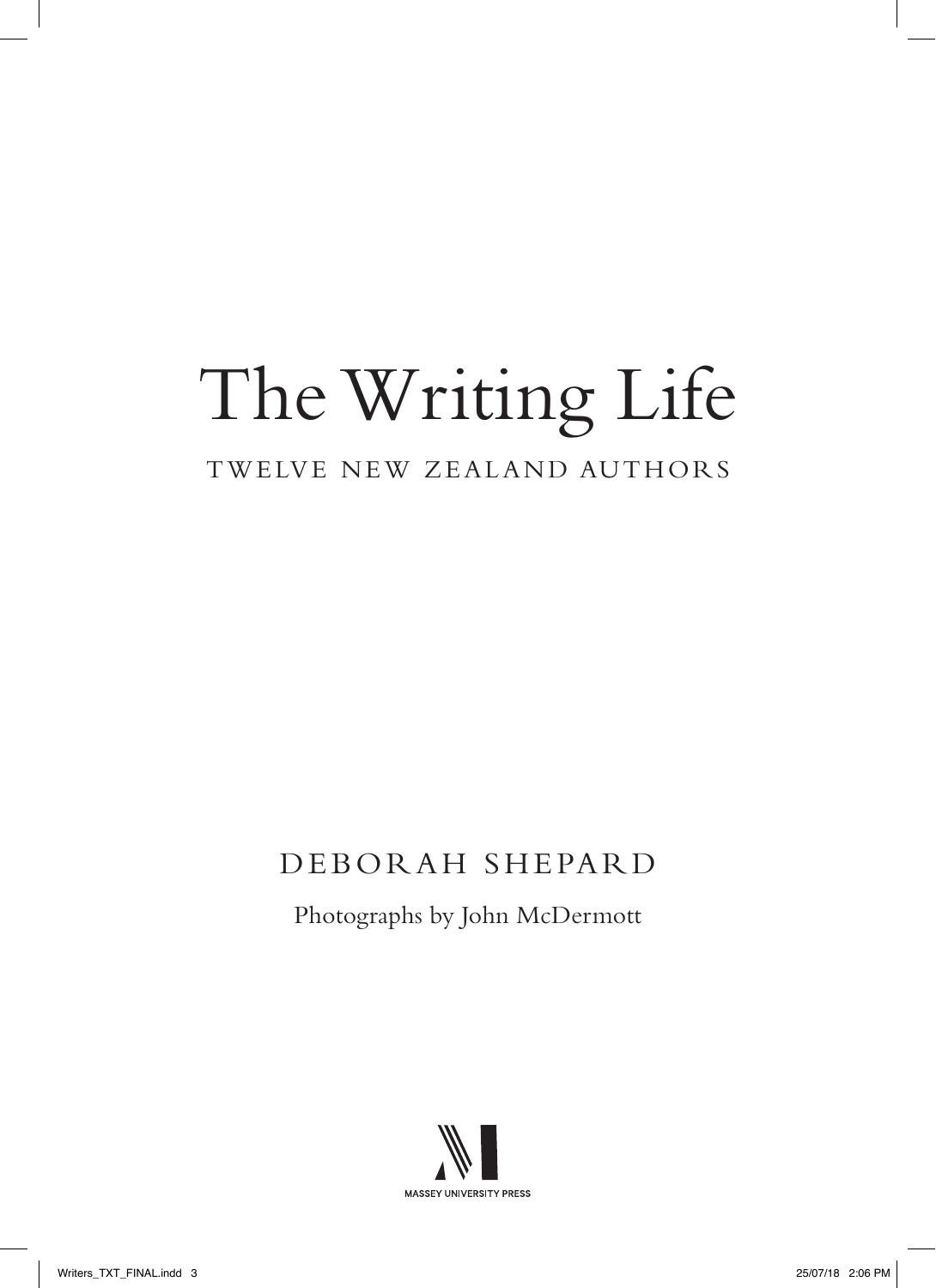# The Writing Life

#### TWELVE NEW ZEALAND AUTHORS

### DEBORAH SHEPARD

Photographs by John McDermott

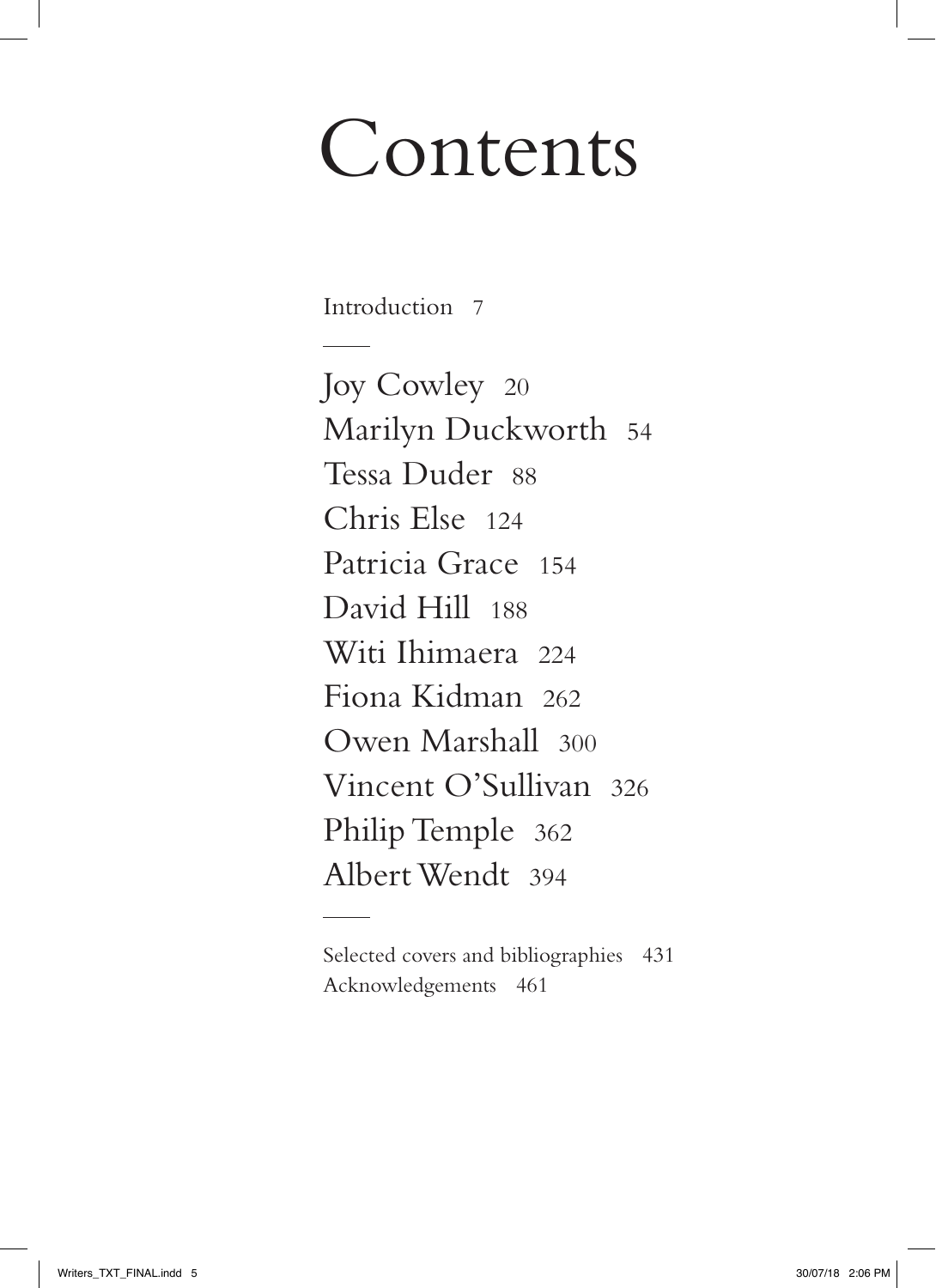## Contents

Introduction 7

Joy Cowley 20 Marilyn Duckworth 54 Tessa Duder 88 Chris Else 124 Patricia Grace 154 David Hill 188 Witi Ihimaera 224 Fiona Kidman 262 Owen Marshall 300 Vincent O'Sullivan 326 Philip Temple 362 Albert Wendt 394

Selected covers and bibliographies 431 Acknowledgements 461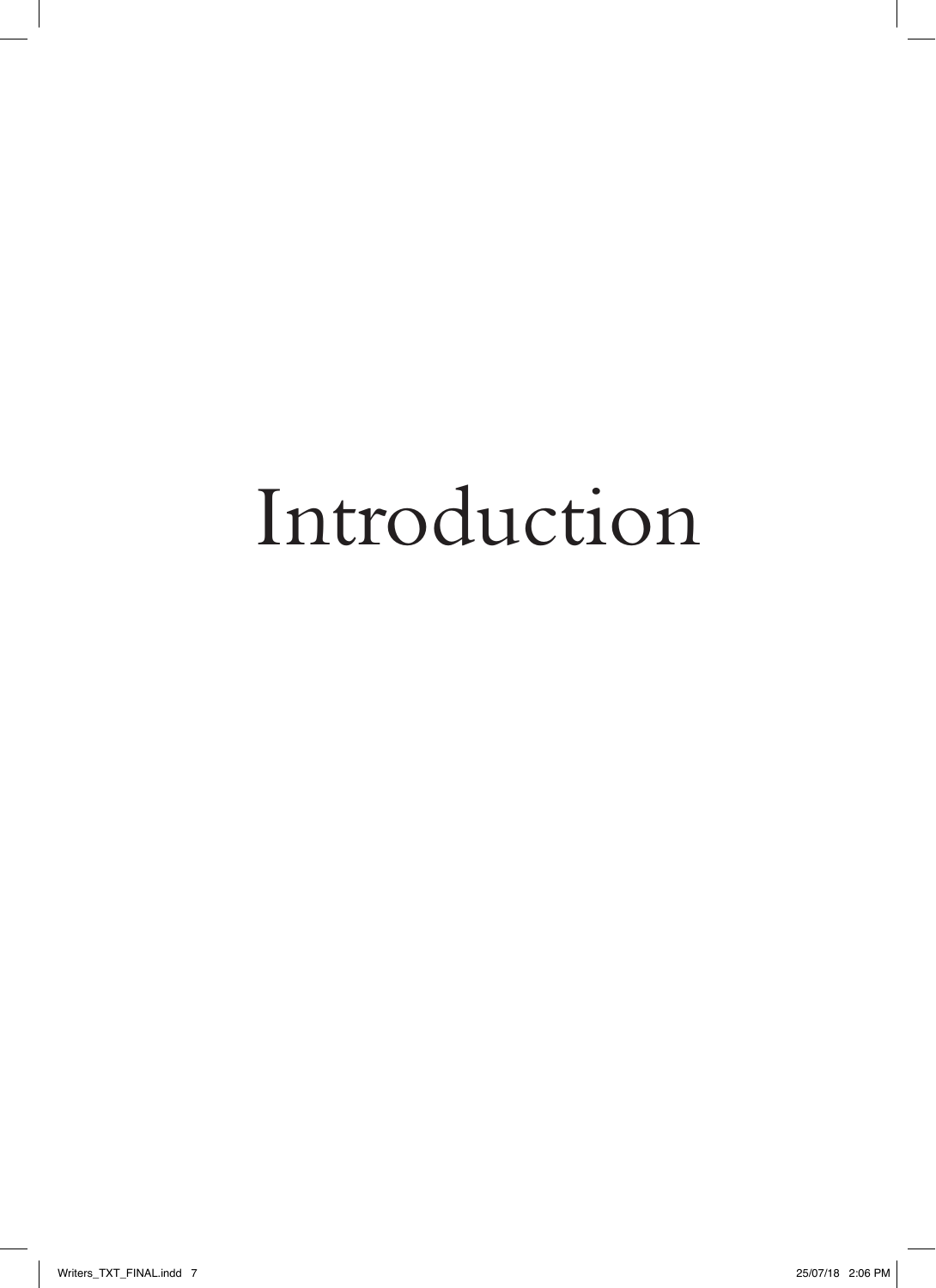## Introduction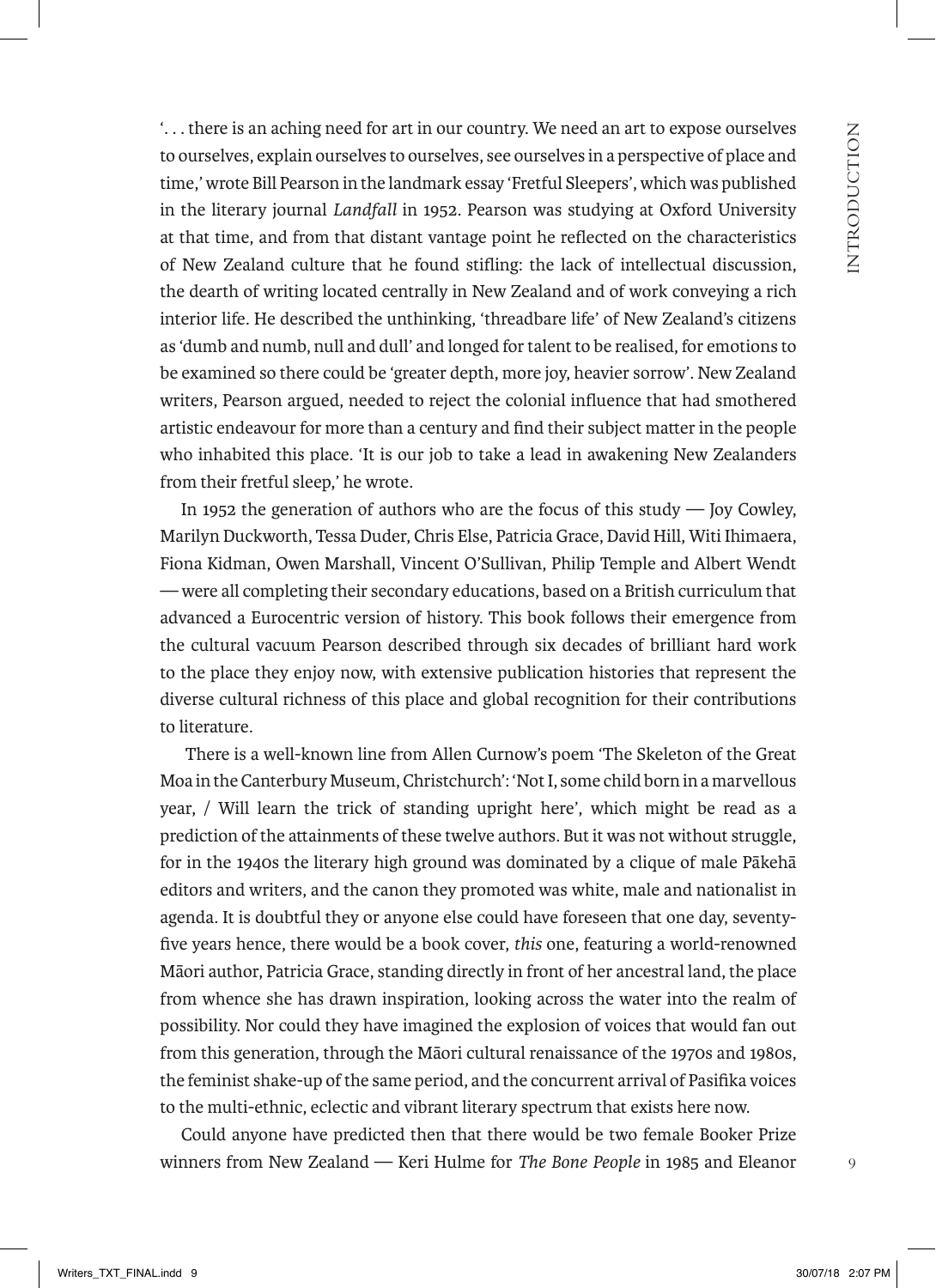'. . . there is an aching need for art in our country. We need an art to expose ourselves to ourselves, explain ourselves to ourselves, see ourselves in a perspective of place and time,' wrote Bill Pearson in the landmark essay 'Fretful Sleepers', which was published in the literary journal *Landfall* in 1952. Pearson was studying at Oxford University at that time, and from that distant vantage point he reflected on the characteristics of New Zealand culture that he found stifling: the lack of intellectual discussion, the dearth of writing located centrally in New Zealand and of work conveying a rich interior life. He described the unthinking, 'threadbare life' of New Zealand's citizens as 'dumb and numb, null and dull' and longed for talent to be realised, for emotions to be examined so there could be 'greater depth, more joy, heavier sorrow'. New Zealand writers, Pearson argued, needed to reject the colonial influence that had smothered artistic endeavour for more than a century and find their subject matter in the people who inhabited this place. 'It is our job to take a lead in awakening New Zealanders from their fretful sleep,' he wrote.

In 1952 the generation of authors who are the focus of this study — Joy Cowley, Marilyn Duckworth, Tessa Duder, Chris Else, Patricia Grace, David Hill, Witi Ihimaera, Fiona Kidman, Owen Marshall, Vincent O'Sullivan, Philip Temple and Albert Wendt — were all completing their secondary educations, based on a British curriculum that advanced a Eurocentric version of history. This book follows their emergence from the cultural vacuum Pearson described through six decades of brilliant hard work to the place they enjoy now, with extensive publication histories that represent the diverse cultural richness of this place and global recognition for their contributions to literature.

 There is a well-known line from Allen Curnow's poem 'The Skeleton of the Great Moa in the Canterbury Museum, Christchurch': 'Not I, some child born in a marvellous year, / Will learn the trick of standing upright here', which might be read as a prediction of the attainments of these twelve authors. But it was not without struggle, for in the 1940s the literary high ground was dominated by a clique of male Pākehā editors and writers, and the canon they promoted was white, male and nationalist in agenda. It is doubtful they or anyone else could have foreseen that one day, seventyfive years hence, there would be a book cover, *this* one, featuring a world-renowned Māori author, Patricia Grace, standing directly in front of her ancestral land, the place from whence she has drawn inspiration, looking across the water into the realm of possibility. Nor could they have imagined the explosion of voices that would fan out from this generation, through the Māori cultural renaissance of the 1970s and 1980s, the feminist shake-up of the same period, and the concurrent arrival of Pasifika voices to the multi-ethnic, eclectic and vibrant literary spectrum that exists here now.

Could anyone have predicted then that there would be two female Booker Prize winners from New Zealand — Keri Hulme for *The Bone People* in 1985 and Eleanor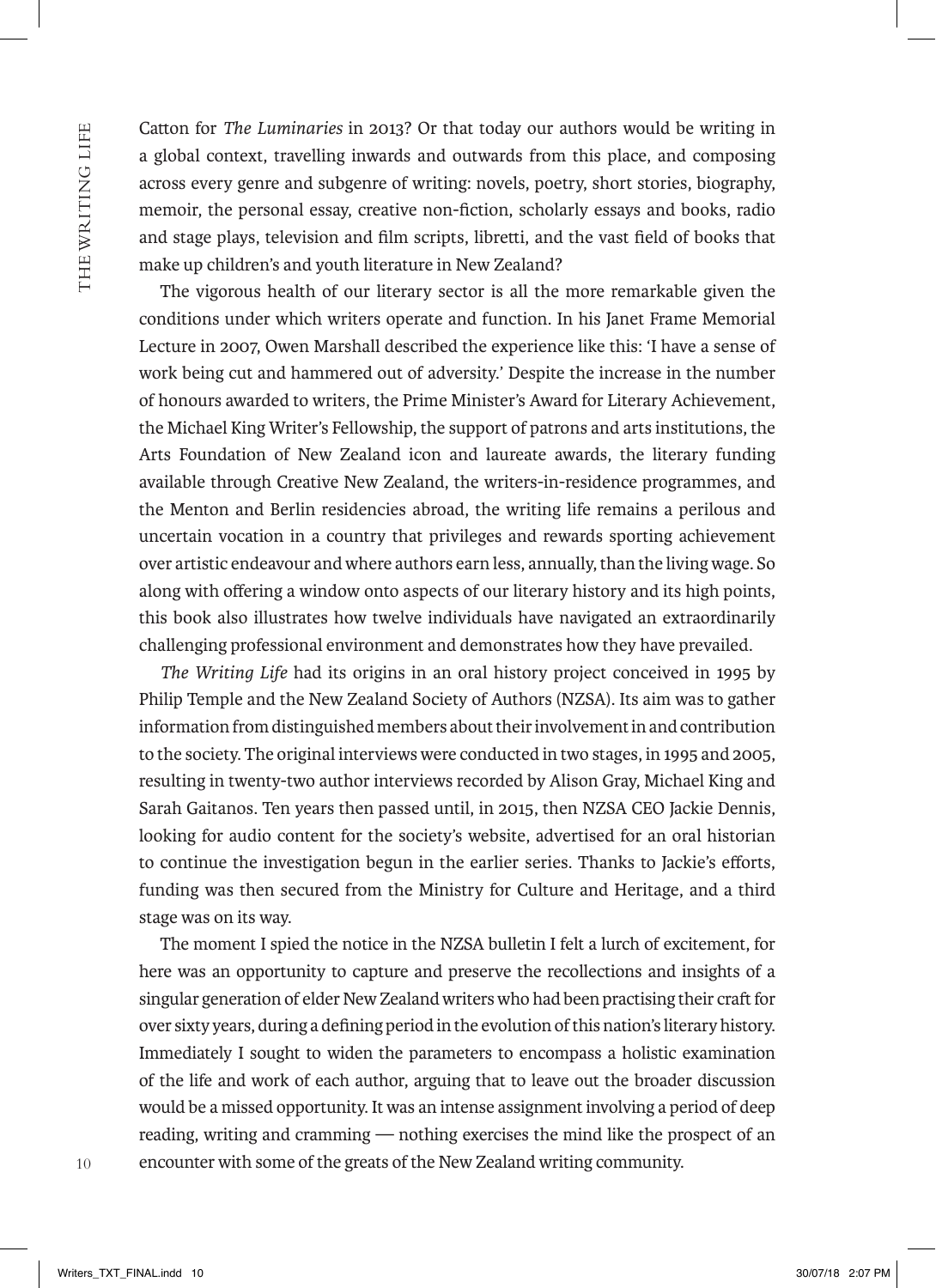THE WRITING LIFE 10THE WARREN WHICH WAS DIRECTED FOR DIRECTED FOR DIRECTED WARRANT ON THE WARRANT OF THE WARRANT OF THE WARRANT OF THE WARRANT OF THE WARRANT OF THE WARRANT OF THE WARRANT OF THE WARRANT OF THE WARRANT OF THE WARRANT OF THE Catton for *The Luminaries* in 2013? Or that today our authors would be writing in a global context, travelling inwards and outwards from this place, and composing across every genre and subgenre of writing: novels, poetry, short stories, biography, memoir, the personal essay, creative non-fiction, scholarly essays and books, radio and stage plays, television and film scripts, libretti, and the vast field of books that make up children's and youth literature in New Zealand?

The vigorous health of our literary sector is all the more remarkable given the conditions under which writers operate and function. In his Janet Frame Memorial Lecture in 2007, Owen Marshall described the experience like this: 'I have a sense of work being cut and hammered out of adversity.' Despite the increase in the number of honours awarded to writers, the Prime Minister's Award for Literary Achievement, the Michael King Writer's Fellowship, the support of patrons and arts institutions, the Arts Foundation of New Zealand icon and laureate awards, the literary funding available through Creative New Zealand, the writers-in-residence programmes, and the Menton and Berlin residencies abroad, the writing life remains a perilous and uncertain vocation in a country that privileges and rewards sporting achievement over artistic endeavour and where authors earn less, annually, than the living wage. So along with offering a window onto aspects of our literary history and its high points, this book also illustrates how twelve individuals have navigated an extraordinarily challenging professional environment and demonstrates how they have prevailed.

*The Writing Life* had its origins in an oral history project conceived in 1995 by Philip Temple and the New Zealand Society of Authors (NZSA). Its aim was to gather information from distinguished members about their involvement in and contribution to the society. The original interviews were conducted in two stages, in 1995 and 2005, resulting in twenty-two author interviews recorded by Alison Gray, Michael King and Sarah Gaitanos. Ten years then passed until, in 2015, then NZSA CEO Jackie Dennis, looking for audio content for the society's website, advertised for an oral historian to continue the investigation begun in the earlier series. Thanks to Jackie's efforts, funding was then secured from the Ministry for Culture and Heritage, and a third stage was on its way.

The moment I spied the notice in the NZSA bulletin I felt a lurch of excitement, for here was an opportunity to capture and preserve the recollections and insights of a singular generation of elder New Zealand writers who had been practising their craft for over sixty years, during a defining period in the evolution of this nation's literary history. Immediately I sought to widen the parameters to encompass a holistic examination of the life and work of each author, arguing that to leave out the broader discussion would be a missed opportunity. It was an intense assignment involving a period of deep reading, writing and cramming — nothing exercises the mind like the prospect of an encounter with some of the greats of the New Zealand writing community.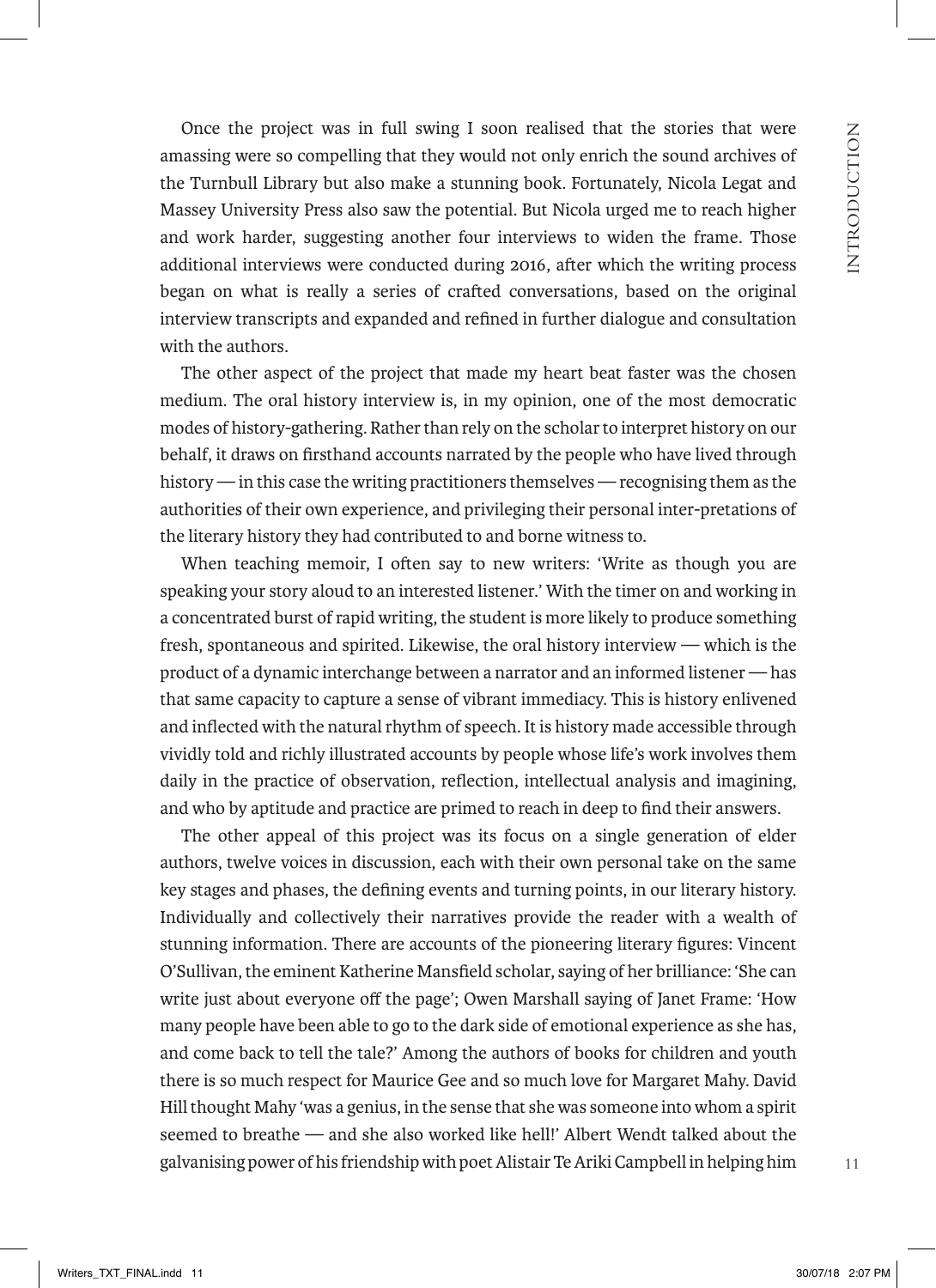Once the project was in full swing I soon realised that the stories that were amassing were so compelling that they would not only enrich the sound archives of the Turnbull Library but also make a stunning book. Fortunately, Nicola Legat and Massey University Press also saw the potential. But Nicola urged me to reach higher and work harder, suggesting another four interviews to widen the frame. Those additional interviews were conducted during 2016, after which the writing process began on what is really a series of crafted conversations, based on the original interview transcripts and expanded and refined in further dialogue and consultation with the authors.

The other aspect of the project that made my heart beat faster was the chosen medium. The oral history interview is, in my opinion, one of the most democratic modes of history-gathering. Rather than rely on the scholar to interpret history on our behalf, it draws on firsthand accounts narrated by the people who have lived through history — in this case the writing practitioners themselves — recognising them as the authorities of their own experience, and privileging their personal inter-pretations of the literary history they had contributed to and borne witness to.

When teaching memoir, I often say to new writers: 'Write as though you are speaking your story aloud to an interested listener.' With the timer on and working in a concentrated burst of rapid writing, the student is more likely to produce something fresh, spontaneous and spirited. Likewise, the oral history interview — which is the product of a dynamic interchange between a narrator and an informed listener — has that same capacity to capture a sense of vibrant immediacy. This is history enlivened and inflected with the natural rhythm of speech. It is history made accessible through vividly told and richly illustrated accounts by people whose life's work involves them daily in the practice of observation, reflection, intellectual analysis and imagining, and who by aptitude and practice are primed to reach in deep to find their answers.

The other appeal of this project was its focus on a single generation of elder authors, twelve voices in discussion, each with their own personal take on the same key stages and phases, the defining events and turning points, in our literary history. Individually and collectively their narratives provide the reader with a wealth of stunning information. There are accounts of the pioneering literary figures: Vincent O'Sullivan, the eminent Katherine Mansfield scholar, saying of her brilliance: 'She can write just about everyone off the page'; Owen Marshall saying of Janet Frame: 'How many people have been able to go to the dark side of emotional experience as she has, and come back to tell the tale?' Among the authors of books for children and youth there is so much respect for Maurice Gee and so much love for Margaret Mahy. David Hill thought Mahy 'was a genius, in the sense that she was someone into whom a spirit seemed to breathe — and she also worked like hell!' Albert Wendt talked about the galvanising power of his friendship with poet Alistair Te Ariki Campbell in helping him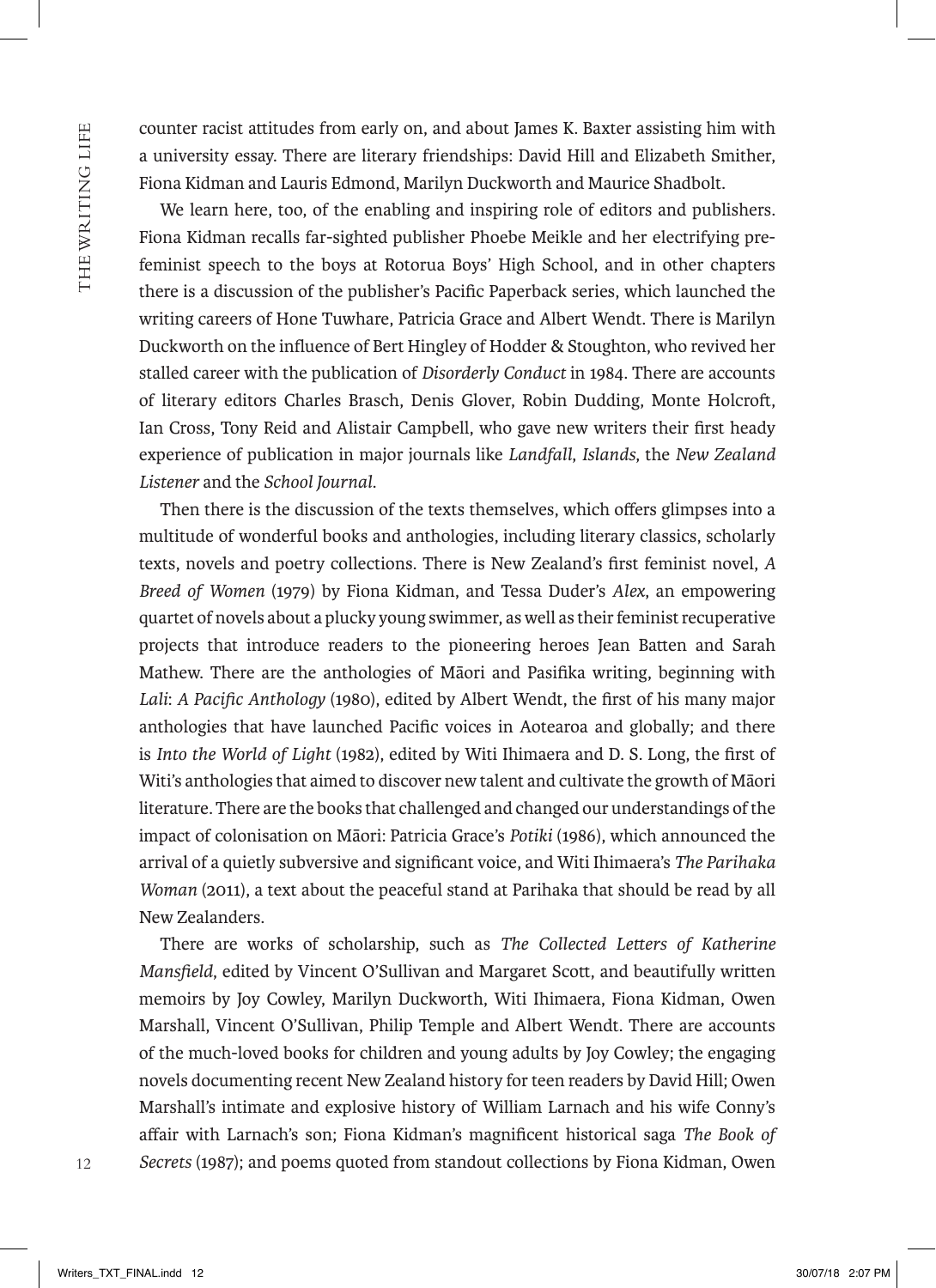counter racist attitudes from early on, and about James K. Baxter assisting him with a university essay. There are literary friendships: David Hill and Elizabeth Smither, Fiona Kidman and Lauris Edmond, Marilyn Duckworth and Maurice Shadbolt.

We learn here, too, of the enabling and inspiring role of editors and publishers. Fiona Kidman recalls far-sighted publisher Phoebe Meikle and her electrifying prefeminist speech to the boys at Rotorua Boys' High School, and in other chapters there is a discussion of the publisher's Pacific Paperback series, which launched the writing careers of Hone Tuwhare, Patricia Grace and Albert Wendt. There is Marilyn Duckworth on the influence of Bert Hingley of Hodder & Stoughton, who revived her stalled career with the publication of *Disorderly Conduct* in 1984. There are accounts of literary editors Charles Brasch, Denis Glover, Robin Dudding, Monte Holcroft, Ian Cross, Tony Reid and Alistair Campbell, who gave new writers their first heady experience of publication in major journals like *Landfall*, *Islands*, the *New Zealand Listener* and the *School Journal*.

Then there is the discussion of the texts themselves, which offers glimpses into a multitude of wonderful books and anthologies, including literary classics, scholarly texts, novels and poetry collections. There is New Zealand's first feminist novel, *A Breed of Women* (1979) by Fiona Kidman, and Tessa Duder's *Alex*, an empowering quartet of novels about a plucky young swimmer, as well as their feminist recuperative projects that introduce readers to the pioneering heroes Jean Batten and Sarah Mathew. There are the anthologies of Māori and Pasifika writing, beginning with *Lali*: *A Pacific Anthology* (1980), edited by Albert Wendt, the first of his many major anthologies that have launched Pacific voices in Aotearoa and globally; and there is *Into the World of Light* (1982), edited by Witi Ihimaera and D. S. Long, the first of Witi's anthologies that aimed to discover new talent and cultivate the growth of Māori literature. There are the books that challenged and changed our understandings of the impact of colonisation on Māori: Patricia Grace's *Potiki* (1986), which announced the arrival of a quietly subversive and significant voice, and Witi Ihimaera's *The Parihaka Woman* (2011), a text about the peaceful stand at Parihaka that should be read by all New Zealanders.

There are works of scholarship, such as *The Collected Letters of Katherine Mansfield*, edited by Vincent O'Sullivan and Margaret Scott, and beautifully written memoirs by Joy Cowley, Marilyn Duckworth, Witi Ihimaera, Fiona Kidman, Owen Marshall, Vincent O'Sullivan, Philip Temple and Albert Wendt. There are accounts of the much-loved books for children and young adults by Joy Cowley; the engaging novels documenting recent New Zealand history for teen readers by David Hill; Owen Marshall's intimate and explosive history of William Larnach and his wife Conny's affair with Larnach's son; Fiona Kidman's magnificent historical saga *The Book of Secrets* (1987); and poems quoted from standout collections by Fiona Kidman, Owen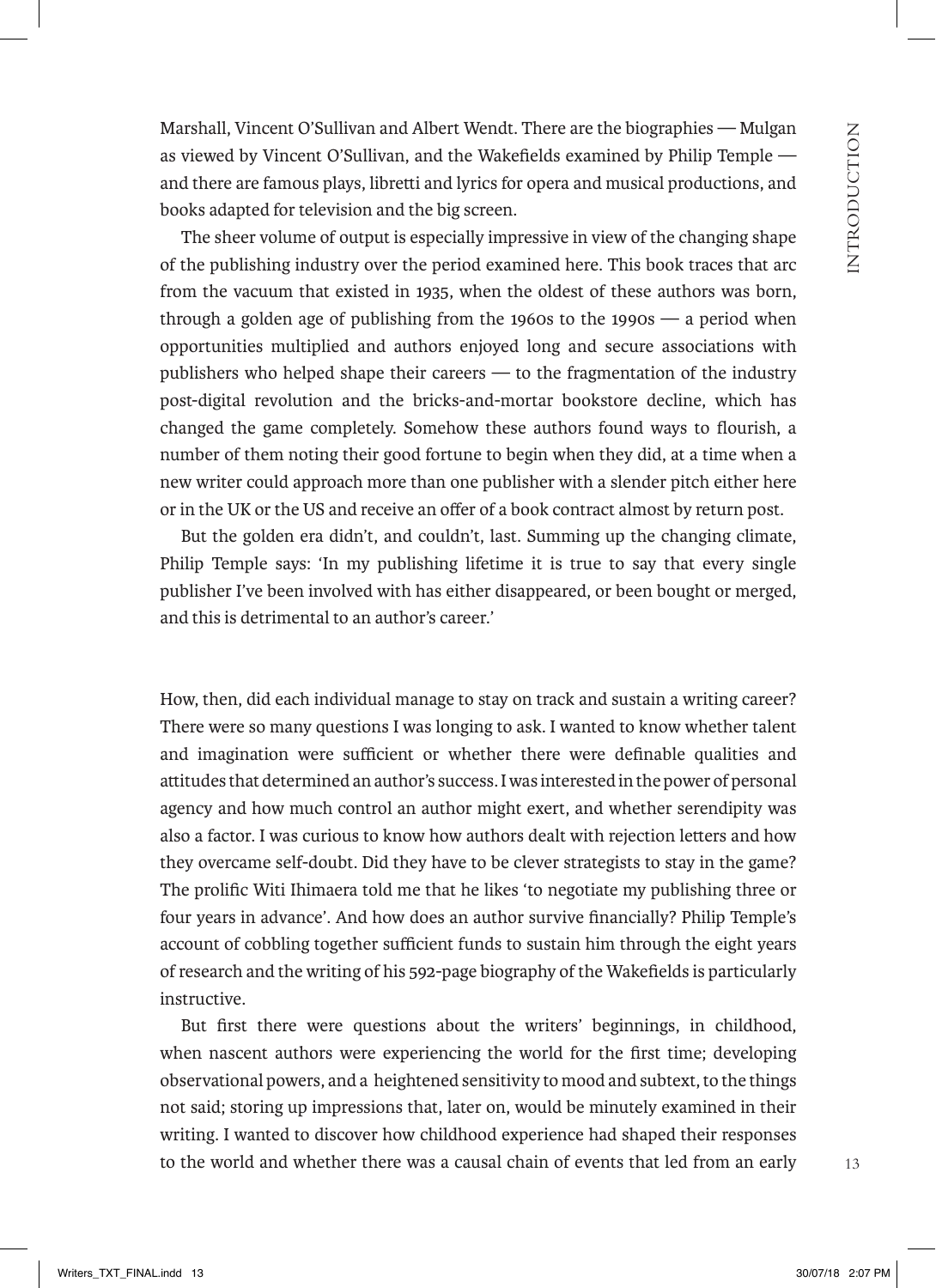Marshall, Vincent O'Sullivan and Albert Wendt. There are the biographies — Mulgan as viewed by Vincent O'Sullivan, and the Wakefields examined by Philip Temple and there are famous plays, libretti and lyrics for opera and musical productions, and books adapted for television and the big screen.

The sheer volume of output is especially impressive in view of the changing shape of the publishing industry over the period examined here. This book traces that arc from the vacuum that existed in 1935, when the oldest of these authors was born, through a golden age of publishing from the 1960s to the 1990s — a period when opportunities multiplied and authors enjoyed long and secure associations with publishers who helped shape their careers — to the fragmentation of the industry post-digital revolution and the bricks-and-mortar bookstore decline, which has changed the game completely. Somehow these authors found ways to flourish, a number of them noting their good fortune to begin when they did, at a time when a new writer could approach more than one publisher with a slender pitch either here or in the UK or the US and receive an offer of a book contract almost by return post.

But the golden era didn't, and couldn't, last. Summing up the changing climate, Philip Temple says: 'In my publishing lifetime it is true to say that every single publisher I've been involved with has either disappeared, or been bought or merged, and this is detrimental to an author's career.'

How, then, did each individual manage to stay on track and sustain a writing career? There were so many questions I was longing to ask. I wanted to know whether talent and imagination were sufficient or whether there were definable qualities and attitudes that determined an author's success. I was interested in the power of personal agency and how much control an author might exert, and whether serendipity was also a factor. I was curious to know how authors dealt with rejection letters and how they overcame self-doubt. Did they have to be clever strategists to stay in the game? The prolific Witi Ihimaera told me that he likes 'to negotiate my publishing three or four years in advance'. And how does an author survive financially? Philip Temple's account of cobbling together sufficient funds to sustain him through the eight years of research and the writing of his 592-page biography of the Wakefields is particularly instructive.

But first there were questions about the writers' beginnings, in childhood, when nascent authors were experiencing the world for the first time; developing observational powers, and a heightened sensitivity to mood and subtext, to the things not said; storing up impressions that, later on, would be minutely examined in their writing. I wanted to discover how childhood experience had shaped their responses to the world and whether there was a causal chain of events that led from an early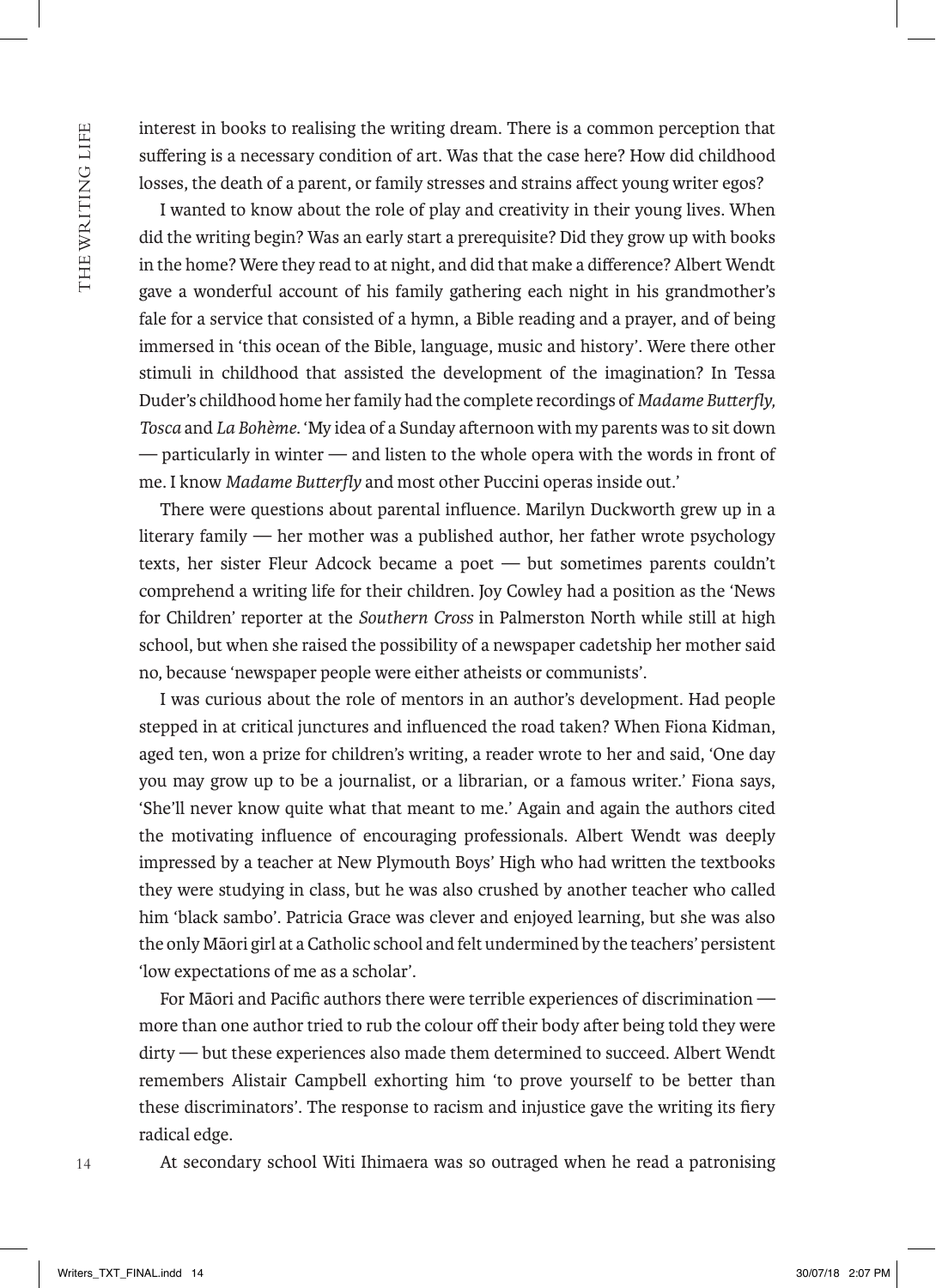interest in books to realising the writing dream. There is a common perception that suffering is a necessary condition of art. Was that the case here? How did childhood losses, the death of a parent, or family stresses and strains affect young writer egos?

I wanted to know about the role of play and creativity in their young lives. When did the writing begin? Was an early start a prerequisite? Did they grow up with books in the home? Were they read to at night, and did that make a difference? Albert Wendt gave a wonderful account of his family gathering each night in his grandmother's fale for a service that consisted of a hymn, a Bible reading and a prayer, and of being immersed in 'this ocean of the Bible, language, music and history'. Were there other stimuli in childhood that assisted the development of the imagination? In Tessa Duder's childhood home her family had the complete recordings of *Madame Butterfly, Tosca* and *La Bohème*. 'My idea of a Sunday afternoon with my parents was to sit down — particularly in winter — and listen to the whole opera with the words in front of me. I know *Madame Butterfly* and most other Puccini operas inside out.'

There were questions about parental influence. Marilyn Duckworth grew up in a literary family — her mother was a published author, her father wrote psychology texts, her sister Fleur Adcock became a poet — but sometimes parents couldn't comprehend a writing life for their children. Joy Cowley had a position as the 'News for Children' reporter at the *Southern Cross* in Palmerston North while still at high school, but when she raised the possibility of a newspaper cadetship her mother said no, because 'newspaper people were either atheists or communists'.

I was curious about the role of mentors in an author's development. Had people stepped in at critical junctures and influenced the road taken? When Fiona Kidman, aged ten, won a prize for children's writing, a reader wrote to her and said, 'One day you may grow up to be a journalist, or a librarian, or a famous writer.' Fiona says, 'She'll never know quite what that meant to me.' Again and again the authors cited the motivating influence of encouraging professionals. Albert Wendt was deeply impressed by a teacher at New Plymouth Boys' High who had written the textbooks they were studying in class, but he was also crushed by another teacher who called him 'black sambo'. Patricia Grace was clever and enjoyed learning, but she was also the only Māori girl at a Catholic school and felt undermined by the teachers' persistent 'low expectations of me as a scholar'.

For Māori and Pacific authors there were terrible experiences of discrimination more than one author tried to rub the colour off their body after being told they were dirty — but these experiences also made them determined to succeed. Albert Wendt remembers Alistair Campbell exhorting him 'to prove yourself to be better than these discriminators'. The response to racism and injustice gave the writing its fiery radical edge.

At secondary school Witi Ihimaera was so outraged when he read a patronising

14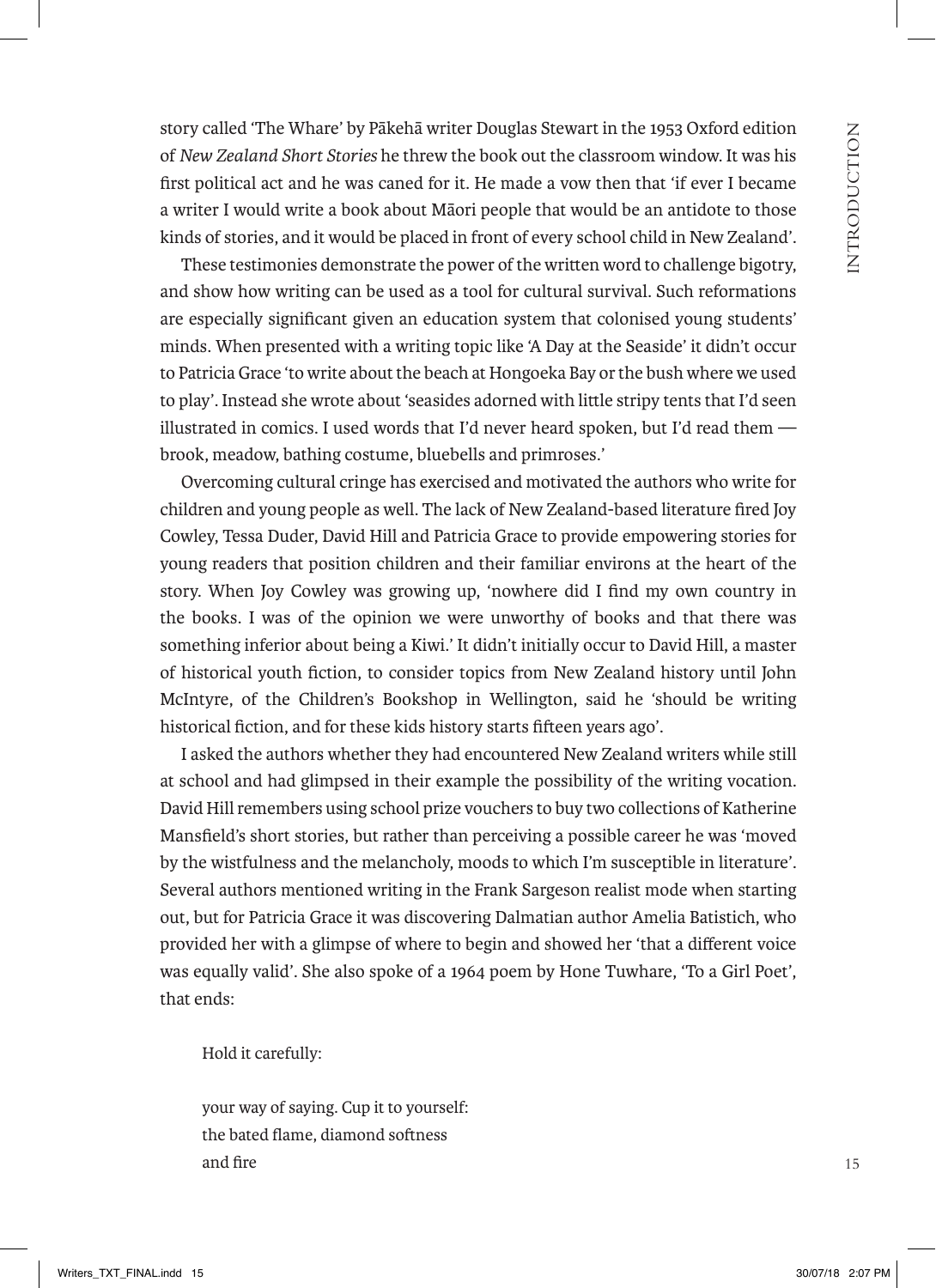story called 'The Whare' by Pākehā writer Douglas Stewart in the 1953 Oxford edition of *New Zealand Short Stories* he threw the book out the classroom window. It was his first political act and he was caned for it. He made a vow then that 'if ever I became a writer I would write a book about Māori people that would be an antidote to those kinds of stories, and it would be placed in front of every school child in New Zealand'.

These testimonies demonstrate the power of the written word to challenge bigotry, and show how writing can be used as a tool for cultural survival. Such reformations are especially significant given an education system that colonised young students' minds. When presented with a writing topic like 'A Day at the Seaside' it didn't occur to Patricia Grace 'to write about the beach at Hongoeka Bay or the bush where we used to play'. Instead she wrote about 'seasides adorned with little stripy tents that I'd seen illustrated in comics. I used words that I'd never heard spoken, but I'd read them brook, meadow, bathing costume, bluebells and primroses.'

Overcoming cultural cringe has exercised and motivated the authors who write for children and young people as well. The lack of New Zealand-based literature fired Joy Cowley, Tessa Duder, David Hill and Patricia Grace to provide empowering stories for young readers that position children and their familiar environs at the heart of the story. When Joy Cowley was growing up, 'nowhere did I find my own country in the books. I was of the opinion we were unworthy of books and that there was something inferior about being a Kiwi.' It didn't initially occur to David Hill, a master of historical youth fiction, to consider topics from New Zealand history until John McIntyre, of the Children's Bookshop in Wellington, said he 'should be writing historical fiction, and for these kids history starts fifteen years ago'.

I asked the authors whether they had encountered New Zealand writers while still at school and had glimpsed in their example the possibility of the writing vocation. David Hill remembers using school prize vouchers to buy two collections of Katherine Mansfield's short stories, but rather than perceiving a possible career he was 'moved by the wistfulness and the melancholy, moods to which I'm susceptible in literature'. Several authors mentioned writing in the Frank Sargeson realist mode when starting out, but for Patricia Grace it was discovering Dalmatian author Amelia Batistich, who provided her with a glimpse of where to begin and showed her 'that a different voice was equally valid'. She also spoke of a 1964 poem by Hone Tuwhare, 'To a Girl Poet', that ends:

Hold it carefully:

your way of saying. Cup it to yourself: the bated flame, diamond softness and fire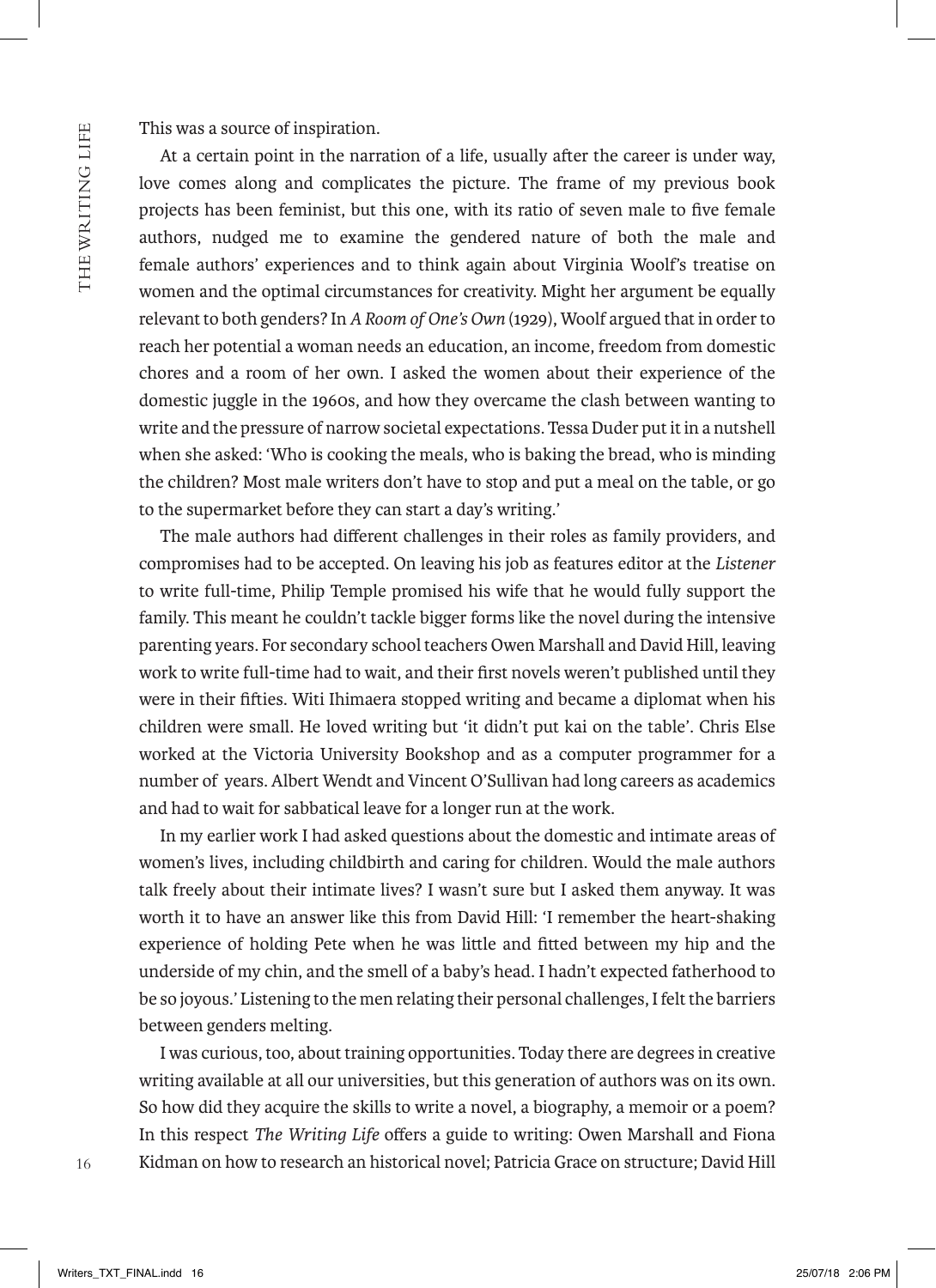This was a source of inspiration.

At a certain point in the narration of a life, usually after the career is under way, love comes along and complicates the picture. The frame of my previous book projects has been feminist, but this one, with its ratio of seven male to five female authors, nudged me to examine the gendered nature of both the male and female authors' experiences and to think again about Virginia Woolf's treatise on women and the optimal circumstances for creativity. Might her argument be equally relevant to both genders? In *A Room of One's Own* (1929), Woolf argued that in order to reach her potential a woman needs an education, an income, freedom from domestic chores and a room of her own. I asked the women about their experience of the domestic juggle in the 1960s, and how they overcame the clash between wanting to write and the pressure of narrow societal expectations. Tessa Duder put it in a nutshell when she asked: 'Who is cooking the meals, who is baking the bread, who is minding the children? Most male writers don't have to stop and put a meal on the table, or go to the supermarket before they can start a day's writing.'

The male authors had different challenges in their roles as family providers, and compromises had to be accepted. On leaving his job as features editor at the *Listener* to write full-time, Philip Temple promised his wife that he would fully support the family. This meant he couldn't tackle bigger forms like the novel during the intensive parenting years. For secondary school teachers Owen Marshall and David Hill, leaving work to write full-time had to wait, and their first novels weren't published until they were in their fifties. Witi Ihimaera stopped writing and became a diplomat when his children were small. He loved writing but 'it didn't put kai on the table'. Chris Else worked at the Victoria University Bookshop and as a computer programmer for a number of years. Albert Wendt and Vincent O'Sullivan had long careers as academics and had to wait for sabbatical leave for a longer run at the work.

In my earlier work I had asked questions about the domestic and intimate areas of women's lives, including childbirth and caring for children. Would the male authors talk freely about their intimate lives? I wasn't sure but I asked them anyway. It was worth it to have an answer like this from David Hill: 'I remember the heart-shaking experience of holding Pete when he was little and fitted between my hip and the underside of my chin, and the smell of a baby's head. I hadn't expected fatherhood to be so joyous.' Listening to the men relating their personal challenges, I felt the barriers between genders melting.

I was curious, too, about training opportunities. Today there are degrees in creative writing available at all our universities, but this generation of authors was on its own. So how did they acquire the skills to write a novel, a biography, a memoir or a poem? In this respect *The Writing Life* offers a guide to writing: Owen Marshall and Fiona Kidman on how to research an historical novel; Patricia Grace on structure; David Hill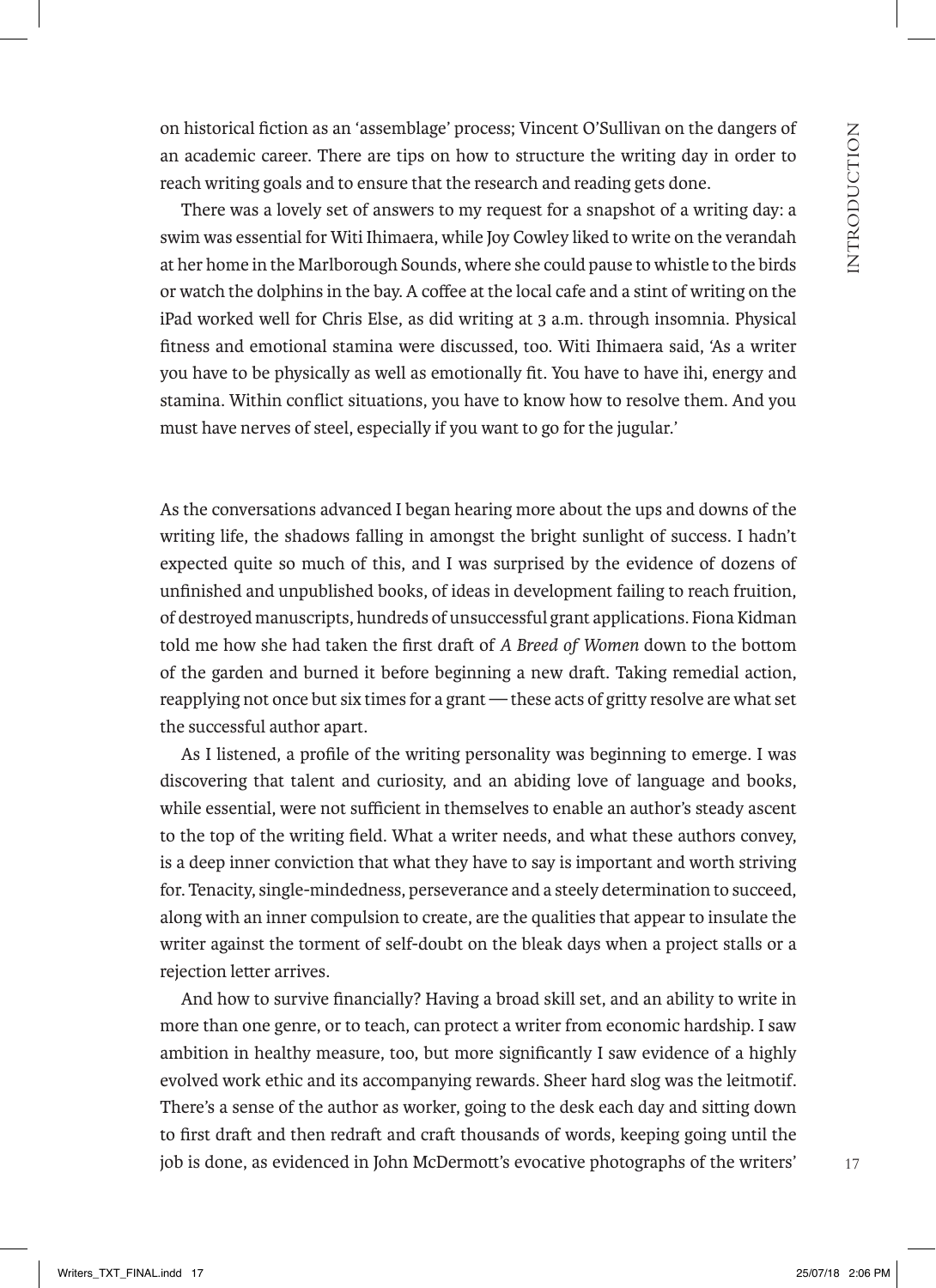on historical fiction as an 'assemblage' process; Vincent O'Sullivan on the dangers of an academic career. There are tips on how to structure the writing day in order to reach writing goals and to ensure that the research and reading gets done.

There was a lovely set of answers to my request for a snapshot of a writing day: a swim was essential for Witi Ihimaera, while Joy Cowley liked to write on the verandah at her home in the Marlborough Sounds, where she could pause to whistle to the birds or watch the dolphins in the bay. A coffee at the local cafe and a stint of writing on the iPad worked well for Chris Else, as did writing at 3 a.m. through insomnia. Physical fitness and emotional stamina were discussed, too. Witi Ihimaera said, 'As a writer you have to be physically as well as emotionally fit. You have to have ihi, energy and stamina. Within conflict situations, you have to know how to resolve them. And you must have nerves of steel, especially if you want to go for the jugular.'

As the conversations advanced I began hearing more about the ups and downs of the writing life, the shadows falling in amongst the bright sunlight of success. I hadn't expected quite so much of this, and I was surprised by the evidence of dozens of unfinished and unpublished books, of ideas in development failing to reach fruition, of destroyed manuscripts, hundreds of unsuccessful grant applications. Fiona Kidman told me how she had taken the first draft of *A Breed of Women* down to the bottom of the garden and burned it before beginning a new draft. Taking remedial action, reapplying not once but six times for a grant — these acts of gritty resolve are what set the successful author apart.

As I listened, a profile of the writing personality was beginning to emerge. I was discovering that talent and curiosity, and an abiding love of language and books, while essential, were not sufficient in themselves to enable an author's steady ascent to the top of the writing field. What a writer needs, and what these authors convey, is a deep inner conviction that what they have to say is important and worth striving for. Tenacity, single-mindedness, perseverance and a steely determination to succeed, along with an inner compulsion to create, are the qualities that appear to insulate the writer against the torment of self-doubt on the bleak days when a project stalls or a rejection letter arrives.

And how to survive financially? Having a broad skill set, and an ability to write in more than one genre, or to teach, can protect a writer from economic hardship. I saw ambition in healthy measure, too, but more significantly I saw evidence of a highly evolved work ethic and its accompanying rewards. Sheer hard slog was the leitmotif. There's a sense of the author as worker, going to the desk each day and sitting down to first draft and then redraft and craft thousands of words, keeping going until the job is done, as evidenced in John McDermott's evocative photographs of the writers'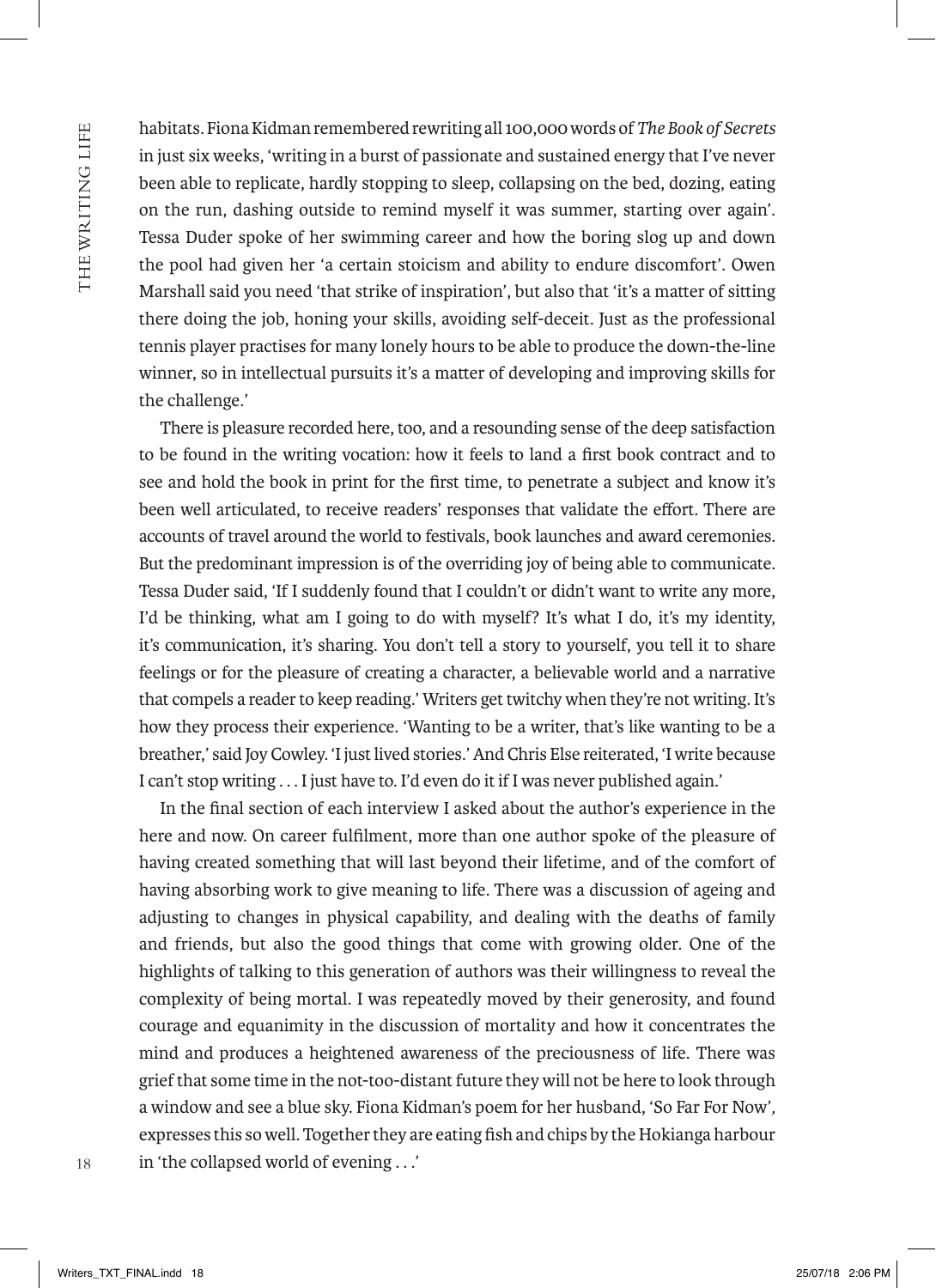THE WRITING LIFE 18TH WAN THE WAS LIGHTED WARRANTY OF THE WARD WAS LIGHTED WANTED TO MAKE THE WARD TO THE WARD TO THE WARD TO THE WARD TO THE WARD TO THE WARD TO THE WARD TO THE WARD TO THE WARD TO THE WARD TO THE WARD TO THE WARD TO THE W habitats. Fiona Kidman remembered rewriting all 100,000 words of*The Book of Secrets*  in just six weeks, 'writing in a burst of passionate and sustained energy that I've never been able to replicate, hardly stopping to sleep, collapsing on the bed, dozing, eating on the run, dashing outside to remind myself it was summer, starting over again'. Tessa Duder spoke of her swimming career and how the boring slog up and down the pool had given her 'a certain stoicism and ability to endure discomfort'. Owen Marshall said you need 'that strike of inspiration', but also that 'it's a matter of sitting there doing the job, honing your skills, avoiding self-deceit. Just as the professional tennis player practises for many lonely hours to be able to produce the down-the-line winner, so in intellectual pursuits it's a matter of developing and improving skills for the challenge.'

There is pleasure recorded here, too, and a resounding sense of the deep satisfaction to be found in the writing vocation: how it feels to land a first book contract and to see and hold the book in print for the first time, to penetrate a subject and know it's been well articulated, to receive readers' responses that validate the effort. There are accounts of travel around the world to festivals, book launches and award ceremonies. But the predominant impression is of the overriding joy of being able to communicate. Tessa Duder said, 'If I suddenly found that I couldn't or didn't want to write any more, I'd be thinking, what am I going to do with myself? It's what I do, it's my identity, it's communication, it's sharing. You don't tell a story to yourself, you tell it to share feelings or for the pleasure of creating a character, a believable world and a narrative that compels a reader to keep reading.' Writers get twitchy when they're not writing. It's how they process their experience. 'Wanting to be a writer, that's like wanting to be a breather,' said Joy Cowley. 'I just lived stories.' And Chris Else reiterated, 'I write because I can't stop writing . . . I just have to. I'd even do it if I was never published again.'

In the final section of each interview I asked about the author's experience in the here and now. On career fulfilment, more than one author spoke of the pleasure of having created something that will last beyond their lifetime, and of the comfort of having absorbing work to give meaning to life. There was a discussion of ageing and adjusting to changes in physical capability, and dealing with the deaths of family and friends, but also the good things that come with growing older. One of the highlights of talking to this generation of authors was their willingness to reveal the complexity of being mortal. I was repeatedly moved by their generosity, and found courage and equanimity in the discussion of mortality and how it concentrates the mind and produces a heightened awareness of the preciousness of life. There was grief that some time in the not-too-distant future they will not be here to look through a window and see a blue sky. Fiona Kidman's poem for her husband, 'So Far For Now'*,* expresses this so well. Together they are eating fish and chips by the Hokianga harbour in 'the collapsed world of evening . . .'